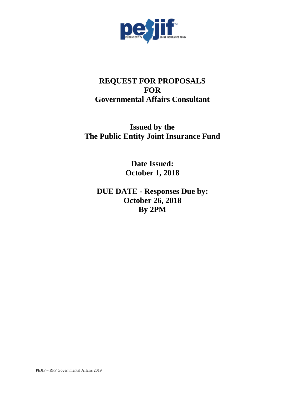

# **REQUEST FOR PROPOSALS FOR Governmental Affairs Consultant**

# **Issued by the The Public Entity Joint Insurance Fund**

**Date Issued: October 1, 2018**

**DUE DATE - Responses Due by: October 26, 2018 By 2PM**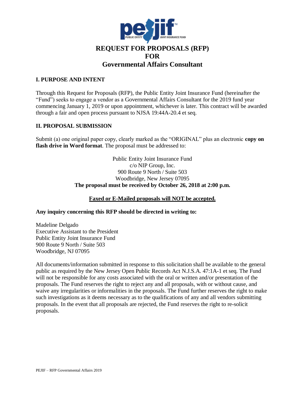

# **REQUEST FOR PROPOSALS (RFP) FOR Governmental Affairs Consultant**

# **I. PURPOSE AND INTENT**

Through this Request for Proposals (RFP), the Public Entity Joint Insurance Fund (hereinafter the "Fund") seeks to engage a vendor as a Governmental Affairs Consultant for the 2019 fund year commencing January 1, 2019 or upon appointment, whichever is later. This contract will be awarded through a fair and open process pursuant to NJSA 19:44A-20.4 et seq.

#### **II. PROPOSAL SUBMISSION**

Submit (a) one original paper copy, clearly marked as the "ORIGINAL" plus an electronic **copy on flash drive in Word format**. The proposal must be addressed to:

> Public Entity Joint Insurance Fund c/o NIP Group, Inc. 900 Route 9 North / Suite 503 Woodbridge, New Jersey 07095 **The proposal must be received by October 26, 2018 at 2:00 p.m.**

#### **Faxed or E-Mailed proposals will NOT be accepted.**

#### **Any inquiry concerning this RFP should be directed in writing to:**

Madeline Delgado Executive Assistant to the President Public Entity Joint Insurance Fund 900 Route 9 North / Suite 503 Woodbridge, NJ 07095

All documents/information submitted in response to this solicitation shall be available to the general public as required by the New Jersey Open Public Records Act N.J.S.A. 47:1A-1 et seq. The Fund will not be responsible for any costs associated with the oral or written and/or presentation of the proposals. The Fund reserves the right to reject any and all proposals, with or without cause, and waive any irregularities or informalities in the proposals. The Fund further reserves the right to make such investigations as it deems necessary as to the qualifications of any and all vendors submitting proposals. In the event that all proposals are rejected, the Fund reserves the right to re-solicit proposals.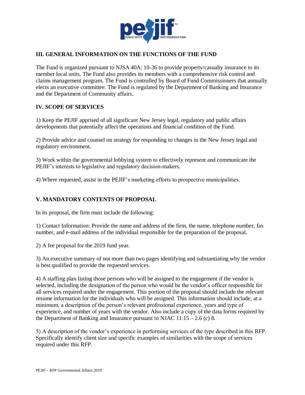

# **III. GENERAL INFORMATION ON THE FUNCTIONS OF THE FUND**

The Fund is organized pursuant to NJSA 40A: 10-36 to provide property/casualty insurance to its member local units. The Fund also provides its members with a comprehensive risk control and claims management program. The Fund is controlled by Board of Fund Commissioners that annually elects an executive committee. The Fund is regulated by the Department of Banking and Insurance and the Department of Community affairs.

#### **IV. SCOPE OF SERVICES**

1) Keep the PEJIF apprised of all significant New Jersey legal, regulatory and public affairs developments that potentially affect the operations and financial condition of the Fund.

2) Provide advice and counsel on strategy for responding to changes in the New Jersey legal and regulatory environment.

3) Work within the governmental lobbying system to effectively represent and communicate the PEJIF's interests to legislative and regulatory decision-makers.

4) Where requested, assist in the PEJIF's marketing efforts to prospective municipalities.

#### **V. MANDATORY CONTENTS OF PROPOSAL**

In its proposal, the firm must include the following:

1) Contact Information: Provide the name and address of the firm, the name, telephone number, fax number, and e-mail address of the individual responsible for the preparation of the proposal.

2) A fee proposal for the 2019 fund year.

3) An executive summary of not more than two pages identifying and substantiating why the vendor is best qualified to provide the requested services.

4) A staffing plan listing those persons who will be assigned to the engagement if the vendor is selected, including the designation of the person who would be the vendor's officer responsible for all services required under the engagement. This portion of the proposal should include the relevant resume information for the individuals who will be assigned. This information should include, at a minimum, a description of the person's relevant professional experience, years and type of experience, and number of years with the vendor. Also include a copy of the data forms required by the Department of Banking and Insurance pursuant to NJAC  $11:15 - 2.6$  (c) 8.

5) A description of the vendor's experience in performing services of the type described in this RFP. Specifically identify client size and specific examples of similarities with the scope of services required under this RFP.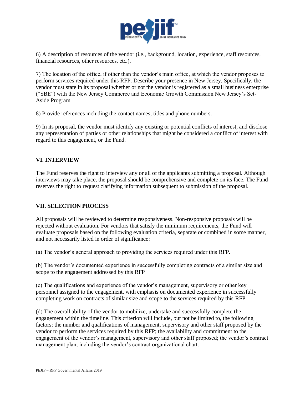

6) A description of resources of the vendor (i.e., background, location, experience, staff resources, financial resources, other resources, etc.).

7) The location of the office, if other than the vendor's main office, at which the vendor proposes to perform services required under this RFP. Describe your presence in New Jersey. Specifically, the vendor must state in its proposal whether or not the vendor is registered as a small business enterprise ("SBE") with the New Jersey Commerce and Economic Growth Commission New Jersey's Set-Aside Program.

8) Provide references including the contact names, titles and phone numbers.

9) In its proposal, the vendor must identify any existing or potential conflicts of interest, and disclose any representation of parties or other relationships that might be considered a conflict of interest with regard to this engagement, or the Fund.

### **VI. INTERVIEW**

The Fund reserves the right to interview any or all of the applicants submitting a proposal. Although interviews may take place, the proposal should be comprehensive and complete on its face. The Fund reserves the right to request clarifying information subsequent to submission of the proposal.

#### **VII. SELECTION PROCESS**

All proposals will be reviewed to determine responsiveness. Non-responsive proposals will be rejected without evaluation. For vendors that satisfy the minimum requirements, the Fund will evaluate proposals based on the following evaluation criteria, separate or combined in some manner, and not necessarily listed in order of significance:

(a) The vendor's general approach to providing the services required under this RFP.

(b) The vendor's documented experience in successfully completing contracts of a similar size and scope to the engagement addressed by this RFP

(c) The qualifications and experience of the vendor's management, supervisory or other key personnel assigned to the engagement, with emphasis on documented experience in successfully completing work on contracts of similar size and scope to the services required by this RFP.

(d) The overall ability of the vendor to mobilize, undertake and successfully complete the engagement within the timeline. This criterion will include, but not be limited to, the following factors: the number and qualifications of management, supervisory and other staff proposed by the vendor to perform the services required by this RFP; the availability and commitment to the engagement of the vendor's management, supervisory and other staff proposed; the vendor's contract management plan, including the vendor's contract organizational chart.